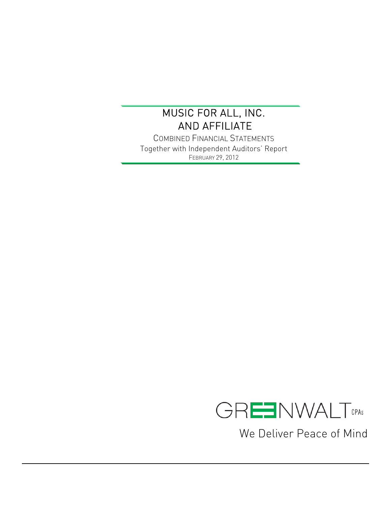$\overline{a}$ 

COMBINED FINANCIAL STATEMENTS Together with Independent Auditors' Report FEBRUARY 29, 2012



We Deliver Peace of Mind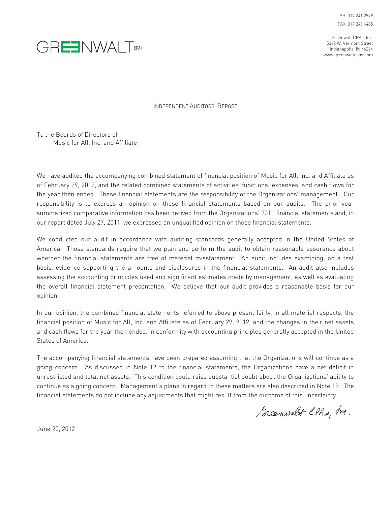PH 317 241 2999 FAX 317 240 4485

Greenwalt CPAs, Inc. 5342 W. Vermont Street Indianapolis, IN 46224 www.greenwaltcpas.com



INDEPENDENT AUDITORS' REPORT

To the Boards of Directors of Music for All, Inc. and Affiliate:

We have audited the accompanying combined statement of financial position of Music for All, Inc. and Affiliate as of February 29, 2012, and the related combined statements of activities, functional expenses, and cash flows for the year then ended. These financial statements are the responsibility of the Organizations' management. Our responsibility is to express an opinion on these financial statements based on our audits. The prior year summarized comparative information has been derived from the Organizations' 2011 financial statements and, in our report dated July 27, 2011, we expressed an unqualified opinion on those financial statements.

We conducted our audit in accordance with auditing standards generally accepted in the United States of America. Those standards require that we plan and perform the audit to obtain reasonable assurance about whether the financial statements are free of material misstatement. An audit includes examining, on a test basis, evidence supporting the amounts and disclosures in the financial statements. An audit also includes assessing the accounting principles used and significant estimates made by management, as well as evaluating the overall financial statement presentation. We believe that our audit provides a reasonable basis for our opinion.

In our opinion, the combined financial statements referred to above present fairly, in all material respects, the financial position of Music for All, Inc. and Affiliate as of February 29, 2012, and the changes in their net assets and cash flows for the year then ended, in conformity with accounting principles generally accepted in the United States of America.

The accompanying financial statements have been prepared assuming that the Organizations will continue as a going concern. As discussed in Note 12 to the financial statements, the Organizations have a net deficit in unrestricted and total net assets. This condition could raise substantial doubt about the Organizations' ability to continue as a going concern. Management's plans in regard to these matters are also described in Note 12. The financial statements do not include any adjustments that might result from the outcome of this uncertainty.

Greenwalt CPAs, Inc.

June 20, 2012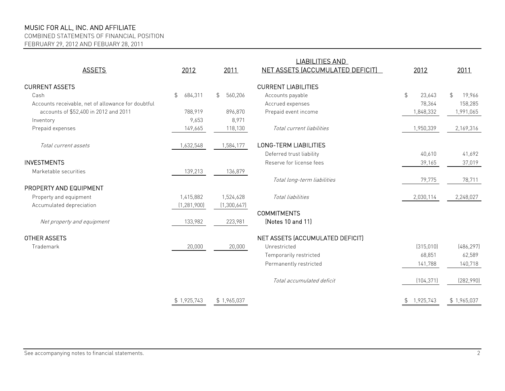COMBINED STATEMENTS OF FINANCIAL POSITION

FEBRUARY 29, 2012 AND FEBUARY 28, 2011

| <b>ASSETS</b>                                      | 2012                     | 2011                      | <b>LIABILITIES AND</b><br>NET ASSETS (ACCUMULATED DEFICIT) | 2012            | 2011                     |
|----------------------------------------------------|--------------------------|---------------------------|------------------------------------------------------------|-----------------|--------------------------|
| <b>CURRENT ASSETS</b>                              |                          |                           | <b>CURRENT LIABILITIES</b>                                 |                 |                          |
| Cash                                               | $\frac{1}{2}$<br>684,311 | 560,206<br>$\mathfrak{L}$ | Accounts payable                                           | \$<br>23,643    | $\mathfrak{P}$<br>19,966 |
| Accounts receivable, net of allowance for doubtful |                          |                           | Accrued expenses                                           | 78,364          | 158,285                  |
| accounts of \$52,400 in 2012 and 2011              | 788,919                  | 896,870                   | Prepaid event income                                       | 1,848,332       | 1,991,065                |
| Inventory                                          | 9,653                    | 8,971                     |                                                            |                 |                          |
| Prepaid expenses                                   | 149,665                  | 118,130                   | Total current liabilities                                  | 1,950,339       | 2,169,316                |
| Total current assets                               | 1,632,548                | 1,584,177                 | <b>LONG-TERM LIABILITIES</b>                               |                 |                          |
|                                                    |                          |                           | Deferred trust liability                                   | 40,610          | 41,692                   |
| <b>INVESTMENTS</b>                                 |                          |                           | Reserve for license fees                                   | 39,165          | 37,019                   |
| Marketable securities                              | 139,213                  | 136,879                   |                                                            |                 |                          |
|                                                    |                          |                           | Total long-term liabilities                                | 79,775          | 78,711                   |
| PROPERTY AND EQUIPMENT                             |                          |                           |                                                            |                 |                          |
| Property and equipment                             | 1,415,882                | 1,524,628                 | Total liabilities                                          | 2,030,114       | 2,248,027                |
| Accumulated depreciation                           | (1, 281, 900)            | (1,300,647)               |                                                            |                 |                          |
|                                                    |                          |                           | <b>COMMITMENTS</b>                                         |                 |                          |
| Net property and equipment                         | 133,982                  | 223,981                   | (Notes 10 and 11)                                          |                 |                          |
| <b>OTHER ASSETS</b>                                |                          |                           | NET ASSETS (ACCUMULATED DEFICIT)                           |                 |                          |
| Trademark                                          | 20,000                   | 20,000                    | Unrestricted                                               | (315,010)       | (486, 297)               |
|                                                    |                          |                           | Temporarily restricted                                     | 68,851          | 62,589                   |
|                                                    |                          |                           | Permanently restricted                                     | 141,788         | 140,718                  |
|                                                    |                          |                           | Total accumulated deficit                                  | (104, 371)      | (282,990)                |
|                                                    | \$1,925,743              | \$1,965,037               |                                                            | 1,925,743<br>\$ | \$1,965,037              |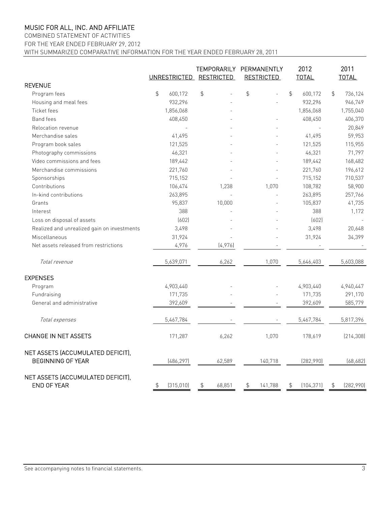### COMBINED STATEMENT OF ACTIVITIES

FOR THE YEAR ENDED FEBRUARY 29, 2012

WITH SUMMARIZED COMPARATIVE INFORMATION FOR THE YEAR ENDED FEBRUARY 28, 2011

|                                                               |               | UNRESTRICTED RESTRICTED |               |         | TEMPORARILY PERMANENTLY<br><b>RESTRICTED</b> |               | 2012<br><b>TOTAL</b> | 2011<br><b>TOTAL</b> |            |
|---------------------------------------------------------------|---------------|-------------------------|---------------|---------|----------------------------------------------|---------------|----------------------|----------------------|------------|
| <b>REVENUE</b>                                                |               |                         |               |         |                                              |               |                      |                      |            |
| Program fees                                                  | $\frac{1}{2}$ | 600,172                 | $\frac{4}{5}$ |         | \$                                           | $\frac{1}{2}$ | 600,172              | $\frac{1}{2}$        | 736,124    |
| Housing and meal fees                                         |               | 932,296                 |               |         |                                              |               | 932,296              |                      | 946,749    |
| Ticket fees                                                   |               | 1,856,068               |               |         |                                              |               | 1,856,068            |                      | 1,755,040  |
| Band fees                                                     |               | 408,450                 |               |         |                                              |               | 408,450              |                      | 406,370    |
| Relocation revenue                                            |               |                         |               |         |                                              |               |                      |                      | 20,849     |
| Merchandise sales                                             |               | 41,495                  |               |         |                                              |               | 41,495               |                      | 59,953     |
| Program book sales                                            |               | 121,525                 |               |         |                                              |               | 121,525              |                      | 115,955    |
| Photography commissions                                       |               | 46,321                  |               |         |                                              |               | 46,321               |                      | 71,797     |
| Video commissions and fees                                    |               | 189,442                 |               |         |                                              |               | 189,442              |                      | 168,482    |
| Merchandise commissions                                       |               | 221,760                 |               |         |                                              |               | 221,760              |                      | 196,612    |
| Sponsorships                                                  |               | 715,152                 |               |         |                                              |               | 715,152              |                      | 710,537    |
| Contributions                                                 |               | 106,474                 |               | 1,238   | 1,070                                        |               | 108,782              |                      | 58,900     |
| In-kind contributions                                         |               | 263,895                 |               |         |                                              |               | 263,895              |                      | 257,766    |
| Grants                                                        |               | 95,837                  |               | 10,000  |                                              |               | 105,837              |                      | 41,735     |
| Interest                                                      |               | 388                     |               |         |                                              |               | 388                  |                      | 1,172      |
| Loss on disposal of assets                                    |               | (602)                   |               |         |                                              |               | (602)                |                      |            |
| Realized and unrealized gain on investments                   |               | 3,498                   |               |         |                                              |               | 3,498                |                      | 20,648     |
| Miscellaneous                                                 |               | 31,924                  |               |         |                                              |               | 31,924               |                      | 34,399     |
| Net assets released from restrictions                         |               | 4,976                   |               | (4,976) |                                              |               |                      |                      |            |
| Total revenue                                                 |               | 5,639,071               |               | 6,262   | 1,070                                        |               | 5,646,403            |                      | 5,603,088  |
| <b>EXPENSES</b>                                               |               |                         |               |         |                                              |               |                      |                      |            |
| Program                                                       |               | 4,903,440               |               |         |                                              |               | 4,903,440            |                      | 4,940,447  |
| Fundraising                                                   |               | 171,735                 |               |         |                                              |               | 171,735              |                      | 291,170    |
| General and administrative                                    |               | 392,609                 |               |         |                                              |               | 392,609              |                      | 585,779    |
| Total expenses                                                |               | 5,467,784               |               |         |                                              |               | 5,467,784            |                      | 5,817,396  |
| <b>CHANGE IN NET ASSETS</b>                                   |               | 171,287                 |               | 6,262   | 1,070                                        |               | 178,619              |                      | [214, 308] |
| NET ASSETS (ACCUMULATED DEFICIT),<br><b>BEGINNING OF YEAR</b> |               | (486, 297)              |               | 62,589  | 140,718                                      |               | (282,990)            |                      | (68, 682)  |
| NET ASSETS (ACCUMULATED DEFICIT),<br>END OF YEAR              | \$            | (315, 010)              | \$            | 68,851  | \$<br>141,788                                | \$            | (104, 371)           | \$                   | (282,990)  |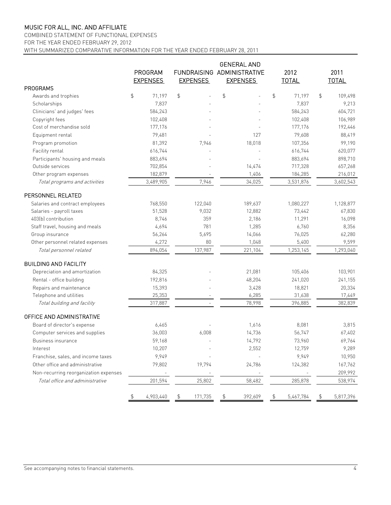### COMBINED STATEMENT OF FUNCTIONAL EXPENSES

FOR THE YEAR ENDED FEBRUARY 29, 2012

WITH SUMMARIZED COMPARATIVE INFORMATION FOR THE YEAR ENDED FEBRUARY 28, 2011

|                                       | PROGRAM<br><b>EXPENSES</b> | <b>EXPENSES</b> | <b>GENERAL AND</b><br>FUNDRAISING ADMINISTRATIVE<br><b>EXPENSES</b> |                | 2012<br><b>TOTAL</b> | 2011<br><b>TOTAL</b> |
|---------------------------------------|----------------------------|-----------------|---------------------------------------------------------------------|----------------|----------------------|----------------------|
| PROGRAMS                              |                            |                 |                                                                     |                |                      |                      |
| Awards and trophies                   | \$<br>71,197               | \$              | \$                                                                  | \$             | 71,197               | \$<br>109,498        |
| Scholarships                          | 7,837                      |                 |                                                                     |                | 7,837                | 9,213                |
| Clinicians' and judges' fees          | 584,243                    |                 |                                                                     |                | 584,243              | 604,721              |
| Copyright fees                        | 102,408                    |                 |                                                                     |                | 102,408              | 106,989              |
| Cost of merchandise sold              | 177,176                    |                 |                                                                     |                | 177,176              | 192,446              |
| Equipment rental                      | 79,481                     |                 | 127                                                                 |                | 79,608               | 88,419               |
| Program promotion                     | 81,392                     | 7,946           | 18,018                                                              |                | 107,356              | 99,190               |
| Facility rental                       | 616,744                    |                 |                                                                     |                | 616,744              | 620,077              |
| Participants' housing and meals       | 883,694                    |                 |                                                                     |                | 883,694              | 898,710              |
| Outside services                      | 702,854                    |                 | 14,474                                                              |                | 717,328              | 657,268              |
| Other program expenses                | 182,879                    |                 | 1,406                                                               |                | 184,285              | 216,012              |
| Total programs and activities         | 3,489,905                  | 7,946           | 34,025                                                              |                | 3,531,876            | 3,602,543            |
| PERSONNEL RELATED                     |                            |                 |                                                                     |                |                      |                      |
| Salaries and contract employees       | 768,550                    | 122,040         | 189,637                                                             |                | 1,080,227            | 1,128,877            |
| Salaries - payroll taxes              | 51,528                     | 9,032           | 12,882                                                              |                | 73,442               | 67,830               |
| 403(b) contribution                   | 8,746                      | 359             | 2,186                                                               |                | 11,291               | 16,098               |
| Staff travel, housing and meals       | 4,694                      | 781             | 1,285                                                               |                | 6,760                | 8,356                |
| Group insurance                       | 56,264                     | 5,695           | 14,066                                                              |                | 76,025               | 62,280               |
| Other personnel related expenses      | 4,272                      | 80              | 1,048                                                               |                | 5,400                | 9,599                |
| Total personnel related               | 894,054                    | 137,987         | 221,104                                                             |                | 1,253,145            | 1,293,040            |
| <b>BUILDING AND FACILITY</b>          |                            |                 |                                                                     |                |                      |                      |
| Depreciation and amortization         | 84,325                     |                 | 21,081                                                              |                | 105,406              | 103,901              |
| Rental - office building              | 192,816                    |                 | 48,204                                                              |                | 241,020              | 241,155              |
| Repairs and maintenance               | 15,393                     |                 | 3,428                                                               |                | 18,821               | 20,334               |
| Telephone and utilities               | 25,353                     |                 | 6,285                                                               |                | 31,638               | 17,449               |
| Total building and facility           | 317,887                    |                 | 78,998                                                              |                | 396,885              | 382,839              |
| OFFICE AND ADMINISTRATIVE             |                            |                 |                                                                     |                |                      |                      |
| Board of director's expense           | 6,465                      |                 | 1,616                                                               |                | 8,081                | 3,815                |
| Computer services and supplies        | 36,003                     | 6,008           | 14,736                                                              |                | 56,747               | 67,402               |
| Business insurance                    | 59,168                     |                 | 14,792                                                              |                | 73,960               | 69,764               |
| Interest                              | 10,207                     |                 | 2,552                                                               |                | 12,759               | 9,289                |
| Franchise, sales, and income taxes    | 9,949                      |                 |                                                                     |                | 9,949                | 10,950               |
| Other office and administrative       | 79,802                     | 19,794          | 24,786                                                              |                | 124,382              | 167,762              |
| Non-recurring reorganization expenses |                            |                 |                                                                     |                |                      | 209,992              |
| Total office and administrative       | 201,594                    | 25,802          | 58,482                                                              |                | 285,878              | 538,974              |
|                                       | \$<br>4,903,440            | \$<br>171,735   | \$<br>392,609                                                       | $\updownarrow$ | 5,467,784            | \$<br>5,817,396      |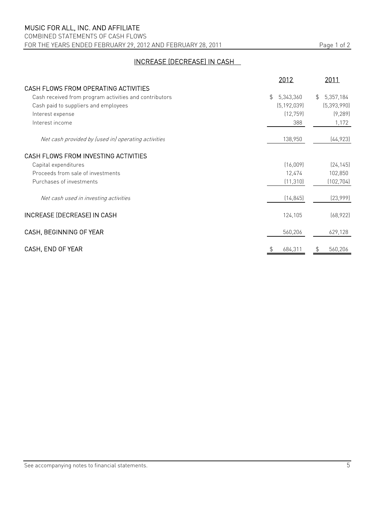COMBINED STATEMENTS OF CASH FLOWS FOR THE YEARS ENDED FEBRUARY 29, 2012 AND FEBRUARY 28, 2011 Page 1 of 2

## INCREASE (DECREASE) IN CASH

|                                                        | 2012            | 2011                        |
|--------------------------------------------------------|-----------------|-----------------------------|
| CASH FLOWS FROM OPERATING ACTIVITIES                   |                 |                             |
| Cash received from program activities and contributors | \$<br>5,343,360 | 5,357,184<br>$\mathfrak{L}$ |
| Cash paid to suppliers and employees                   | (5, 192, 039)   | (5, 393, 990)               |
| Interest expense                                       | (12, 759)       | (9, 289)                    |
| Interest income                                        | 388             | 1,172                       |
| Net cash provided by (used in) operating activities    | 138,950         | (44, 923)                   |
| CASH FLOWS FROM INVESTING ACTIVITIES                   |                 |                             |
| Capital expenditures                                   | (16,009)        | [24, 145]                   |
| Proceeds from sale of investments                      | 12,474          | 102,850                     |
| Purchases of investments                               | (11, 310)       | (102, 704)                  |
| Net cash used in investing activities                  | (14, 845)       | (23,999)                    |
| INCREASE (DECREASE) IN CASH                            | 124,105         | (68, 922)                   |
| CASH, BEGINNING OF YEAR                                | 560,206         | 629,128                     |
| CASH, END OF YEAR                                      | 684,311<br>\$   | 560,206<br>\$               |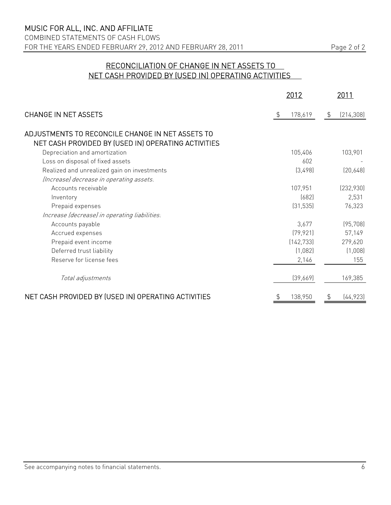COMBINED STATEMENTS OF CASH FLOWS FOR THE YEARS ENDED FEBRUARY 29, 2012 AND FEBRUARY 28, 2011 Page 2 of 2

## RECONCILIATION OF CHANGE IN NET ASSETS TO NET CASH PROVIDED BY (USED IN) OPERATING ACTIVITIES

|                                                                                                         | 2012          |               | 2011       |
|---------------------------------------------------------------------------------------------------------|---------------|---------------|------------|
| <b>CHANGE IN NET ASSETS</b>                                                                             | \$<br>178,619 | $\frac{1}{2}$ | (214, 308) |
| ADJUSTMENTS TO RECONCILE CHANGE IN NET ASSETS TO<br>NET CASH PROVIDED BY (USED IN) OPERATING ACTIVITIES |               |               |            |
| Depreciation and amortization                                                                           | 105,406       |               | 103,901    |
| Loss on disposal of fixed assets                                                                        | 602           |               |            |
| Realized and unrealized gain on investments                                                             | (3,498)       |               | [20,648]   |
| (Increase) decrease in operating assets.                                                                |               |               |            |
| Accounts receivable                                                                                     | 107,951       |               | (232,930)  |
| Inventory                                                                                               | (682)         |               | 2,531      |
| Prepaid expenses                                                                                        | (31, 535)     |               | 76,323     |
| Increase (decrease) in operating liabilities.                                                           |               |               |            |
| Accounts payable                                                                                        | 3,677         |               | (95, 708)  |
| Accrued expenses                                                                                        | (79, 921)     |               | 57,149     |
| Prepaid event income                                                                                    | (142, 733)    |               | 279,620    |
| Deferred trust liability                                                                                | (1,082)       |               | (1,008)    |
| Reserve for license fees                                                                                | 2,146         |               | 155        |
| Total adjustments                                                                                       | (39,669)      |               | 169,385    |
| NET CASH PROVIDED BY (USED IN) OPERATING ACTIVITIES                                                     | 138,950       |               | (44, 923)  |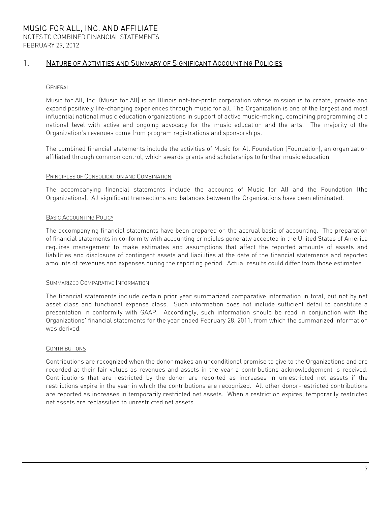## 1. NATURE OF ACTIVITIES AND SUMMARY OF SIGNIFICANT ACCOUNTING POLICIES

### GENERAL

Music for All, Inc. (Music for All) is an Illinois not-for-profit corporation whose mission is to create, provide and expand positively life-changing experiences through music for all. The Organization is one of the largest and most influential national music education organizations in support of active music-making, combining programming at a national level with active and ongoing advocacy for the music education and the arts. The majority of the Organization's revenues come from program registrations and sponsorships.

The combined financial statements include the activities of Music for All Foundation (Foundation), an organization affiliated through common control, which awards grants and scholarships to further music education.

### PRINCIPLES OF CONSOLIDATION AND COMBINATION

The accompanying financial statements include the accounts of Music for All and the Foundation (the Organizations). All significant transactions and balances between the Organizations have been eliminated.

### BASIC ACCOUNTING POLICY

The accompanying financial statements have been prepared on the accrual basis of accounting. The preparation of financial statements in conformity with accounting principles generally accepted in the United States of America requires management to make estimates and assumptions that affect the reported amounts of assets and liabilities and disclosure of contingent assets and liabilities at the date of the financial statements and reported amounts of revenues and expenses during the reporting period. Actual results could differ from those estimates.

#### SUMMARIZED COMPARATIVE INFORMATION

The financial statements include certain prior year summarized comparative information in total, but not by net asset class and functional expense class. Such information does not include sufficient detail to constitute a presentation in conformity with GAAP. Accordingly, such information should be read in conjunction with the Organizations' financial statements for the year ended February 28, 2011, from which the summarized information was derived.

#### **CONTRIBUTIONS**

Contributions are recognized when the donor makes an unconditional promise to give to the Organizations and are recorded at their fair values as revenues and assets in the year a contributions acknowledgement is received. Contributions that are restricted by the donor are reported as increases in unrestricted net assets if the restrictions expire in the year in which the contributions are recognized. All other donor-restricted contributions are reported as increases in temporarily restricted net assets. When a restriction expires, temporarily restricted net assets are reclassified to unrestricted net assets.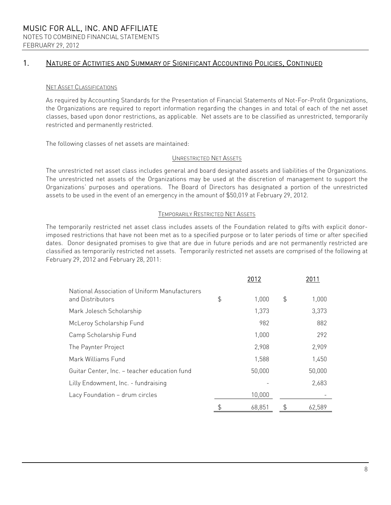## 1. NATURE OF ACTIVITIES AND SUMMARY OF SIGNIFICANT ACCOUNTING POLICIES, CONTINUED

### NET ASSET CLASSIFICATIONS

As required by Accounting Standards for the Presentation of Financial Statements of Not-For-Profit Organizations, the Organizations are required to report information regarding the changes in and total of each of the net asset classes, based upon donor restrictions, as applicable. Net assets are to be classified as unrestricted, temporarily restricted and permanently restricted.

The following classes of net assets are maintained:

### UNRESTRICTED NET ASSETS

The unrestricted net asset class includes general and board designated assets and liabilities of the Organizations. The unrestricted net assets of the Organizations may be used at the discretion of management to support the Organizations' purposes and operations. The Board of Directors has designated a portion of the unrestricted assets to be used in the event of an emergency in the amount of \$50,019 at February 29, 2012.

#### TEMPORARILY RESTRICTED NET ASSETS

The temporarily restricted net asset class includes assets of the Foundation related to gifts with explicit donorimposed restrictions that have not been met as to a specified purpose or to later periods of time or after specified dates. Donor designated promises to give that are due in future periods and are not permanently restricted are classified as temporarily restricted net assets. Temporarily restricted net assets are comprised of the following at February 29, 2012 and February 28, 2011:

|                                                                   | 2012         | 2011         |
|-------------------------------------------------------------------|--------------|--------------|
| National Association of Uniform Manufacturers<br>and Distributors | \$<br>1,000  | \$<br>1,000  |
| Mark Jolesch Scholarship                                          | 1,373        | 3,373        |
| McLeroy Scholarship Fund                                          | 982          | 882          |
| Camp Scholarship Fund                                             | 1,000        | 292          |
| The Paynter Project                                               | 2,908        | 2,909        |
| Mark Williams Fund                                                | 1,588        | 1,450        |
| Guitar Center, Inc. - teacher education fund                      | 50,000       | 50,000       |
| Lilly Endowment, Inc. - fundraising                               |              | 2,683        |
| Lacy Foundation - drum circles                                    | 10,000       |              |
|                                                                   | \$<br>68,851 | \$<br>62.589 |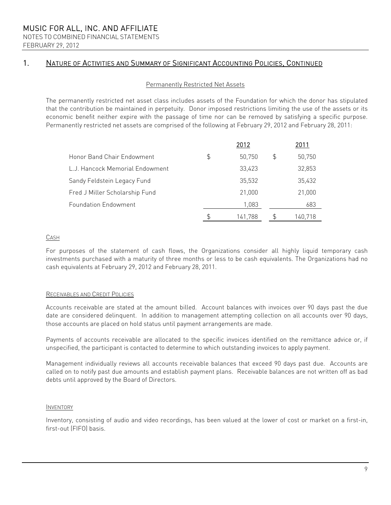NOTES TO COMBINED FINANCIAL STATEMENTS FEBRUARY 29, 2012

## 1. NATURE OF ACTIVITIES AND SUMMARY OF SIGNIFICANT ACCOUNTING POLICIES, CONTINUED

### Permanently Restricted Net Assets

The permanently restricted net asset class includes assets of the Foundation for which the donor has stipulated that the contribution be maintained in perpetuity. Donor imposed restrictions limiting the use of the assets or its economic benefit neither expire with the passage of time nor can be removed by satisfying a specific purpose. Permanently restricted net assets are comprised of the following at February 29, 2012 and February 28, 2011:

|                                 | 2012          |    | 2011    |
|---------------------------------|---------------|----|---------|
| Honor Band Chair Endowment      | \$<br>50,750  | \$ | 50,750  |
| L.J. Hancock Memorial Endowment | 33,423        |    | 32,853  |
| Sandy Feldstein Legacy Fund     | 35,532        |    | 35,432  |
| Fred J Miller Scholarship Fund  | 21,000        |    | 21,000  |
| <b>Foundation Endowment</b>     | 1,083         |    | 683     |
|                                 | \$<br>141.788 | £  | 140.718 |

### CASH

For purposes of the statement of cash flows, the Organizations consider all highly liquid temporary cash investments purchased with a maturity of three months or less to be cash equivalents. The Organizations had no cash equivalents at February 29, 2012 and February 28, 2011.

### RECEIVABLES AND CREDIT POLICIES

Accounts receivable are stated at the amount billed. Account balances with invoices over 90 days past the due date are considered delinquent. In addition to management attempting collection on all accounts over 90 days, those accounts are placed on hold status until payment arrangements are made.

Payments of accounts receivable are allocated to the specific invoices identified on the remittance advice or, if unspecified, the participant is contacted to determine to which outstanding invoices to apply payment.

Management individually reviews all accounts receivable balances that exceed 90 days past due. Accounts are called on to notify past due amounts and establish payment plans. Receivable balances are not written off as bad debts until approved by the Board of Directors.

#### INVENTORY

Inventory, consisting of audio and video recordings, has been valued at the lower of cost or market on a first-in, first-out (FIFO) basis.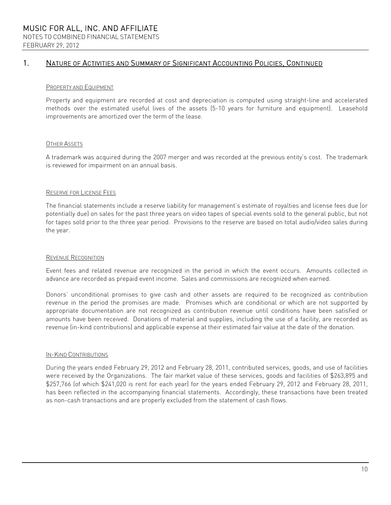## 1. NATURE OF ACTIVITIES AND SUMMARY OF SIGNIFICANT ACCOUNTING POLICIES, CONTINUED

### PROPERTY AND EQUIPMENT

Property and equipment are recorded at cost and depreciation is computed using straight-line and accelerated methods over the estimated useful lives of the assets (5-10 years for furniture and equipment). Leasehold improvements are amortized over the term of the lease.

### OTHER ASSETS

A trademark was acquired during the 2007 merger and was recorded at the previous entity's cost. The trademark is reviewed for impairment on an annual basis.

### RESERVE FOR LICENSE FEES

The financial statements include a reserve liability for management's estimate of royalties and license fees due (or potentially due) on sales for the past three years on video tapes of special events sold to the general public, but not for tapes sold prior to the three year period. Provisions to the reserve are based on total audio/video sales during the year.

### REVENUE RECOGNITION

Event fees and related revenue are recognized in the period in which the event occurs. Amounts collected in advance are recorded as prepaid event income. Sales and commissions are recognized when earned.

Donors' unconditional promises to give cash and other assets are required to be recognized as contribution revenue in the period the promises are made. Promises which are conditional or which are not supported by appropriate documentation are not recognized as contribution revenue until conditions have been satisfied or amounts have been received. Donations of material and supplies, including the use of a facility, are recorded as revenue (in-kind contributions) and applicable expense at their estimated fair value at the date of the donation.

#### IN-KIND CONTRIBUTIONS

During the years ended February 29, 2012 and February 28, 2011, contributed services, goods, and use of facilities were received by the Organizations. The fair market value of these services, goods and facilities of \$263,895 and \$257,766 (of which \$241,020 is rent for each year) for the years ended February 29, 2012 and February 28, 2011, has been reflected in the accompanying financial statements. Accordingly, these transactions have been treated as non-cash transactions and are properly excluded from the statement of cash flows.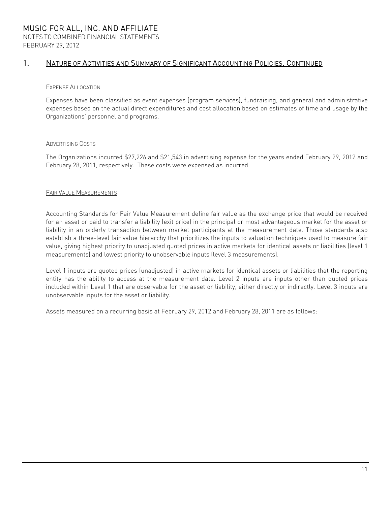## 1. NATURE OF ACTIVITIES AND SUMMARY OF SIGNIFICANT ACCOUNTING POLICIES, CONTINUED

### EXPENSE ALLOCATION

Expenses have been classified as event expenses (program services), fundraising, and general and administrative expenses based on the actual direct expenditures and cost allocation based on estimates of time and usage by the Organizations' personnel and programs.

### ADVERTISING COSTS

The Organizations incurred \$27,226 and \$21,543 in advertising expense for the years ended February 29, 2012 and February 28, 2011, respectively. These costs were expensed as incurred.

### FAIR VALUE MEASUREMENTS

Accounting Standards for Fair Value Measurement define fair value as the exchange price that would be received for an asset or paid to transfer a liability (exit price) in the principal or most advantageous market for the asset or liability in an orderly transaction between market participants at the measurement date. Those standards also establish a three-level fair value hierarchy that prioritizes the inputs to valuation techniques used to measure fair value, giving highest priority to unadjusted quoted prices in active markets for identical assets or liabilities (level 1 measurements) and lowest priority to unobservable inputs (level 3 measurements).

Level 1 inputs are quoted prices (unadjusted) in active markets for identical assets or liabilities that the reporting entity has the ability to access at the measurement date. Level 2 inputs are inputs other than quoted prices included within Level 1 that are observable for the asset or liability, either directly or indirectly. Level 3 inputs are unobservable inputs for the asset or liability.

Assets measured on a recurring basis at February 29, 2012 and February 28, 2011 are as follows: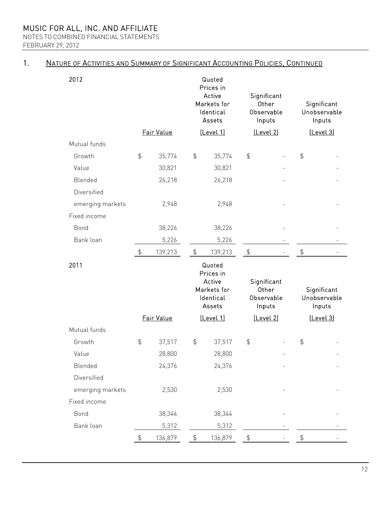NOTES TO COMBINED FINANCIAL STATEMENTS FEBRUARY 29, 2012

## 1. NATURE OF ACTIVITIES AND SUMMARY OF SIGNIFICANT ACCOUNTING POLICIES, CONTINUED

| 2012             |               |            |               | Quoted<br>Prices in<br>Active<br>Markets for<br>Identical<br>Assets |                | Significant<br>Other<br>Observable<br>Inputs |               | Significant<br>Unobservable<br>Inputs |
|------------------|---------------|------------|---------------|---------------------------------------------------------------------|----------------|----------------------------------------------|---------------|---------------------------------------|
|                  |               | Fair Value |               | [Level 1]                                                           |                | [Level 2]                                    |               | [Level 3]                             |
| Mutual funds     |               |            |               |                                                                     |                |                                              |               |                                       |
| Growth           | $\frac{1}{2}$ | 35,774     | $\frac{4}{5}$ | 35,774                                                              | $\frac{1}{2}$  |                                              | $\frac{4}{5}$ |                                       |
| Value            |               | 30,821     |               | 30,821                                                              |                |                                              |               |                                       |
| Blended          |               | 26,218     |               | 26,218                                                              |                |                                              |               |                                       |
| Diversified      |               |            |               |                                                                     |                |                                              |               |                                       |
| emerging markets |               | 2,948      |               | 2,948                                                               |                |                                              |               |                                       |
| Fixed income     |               |            |               |                                                                     |                |                                              |               |                                       |
| Bond             |               | 38,226     |               | 38,226                                                              |                |                                              |               |                                       |
| Bank loan        |               | 5,226      |               | 5,226                                                               |                |                                              |               |                                       |
|                  | $\frac{1}{2}$ | 139,213    | $\frac{1}{2}$ | 139,213                                                             | $\updownarrow$ |                                              | $\frac{4}{5}$ |                                       |
|                  |               |            |               |                                                                     |                |                                              |               |                                       |
| 2011             |               |            |               | Quoted<br>Prices in<br>Active<br>Markets for<br>Identical<br>Assets |                | Significant<br>Other<br>Observable<br>Inputs |               | Significant<br>Unobservable<br>Inputs |
|                  |               | Fair Value |               | [Level 1]                                                           |                | [Level 2]                                    |               | [Level 3]                             |
| Mutual funds     |               |            |               |                                                                     |                |                                              |               |                                       |
| Growth           | \$            | 37,517     | $\frac{4}{5}$ | 37,517                                                              | $\frac{4}{5}$  |                                              | \$            |                                       |
| Value            |               | 28,800     |               | 28,800                                                              |                |                                              |               |                                       |
| Blended          |               | 24,376     |               | 24,376                                                              |                |                                              |               |                                       |
| Diversified      |               |            |               |                                                                     |                |                                              |               |                                       |
| emerging markets |               | 2,530      |               | 2,530                                                               |                |                                              |               |                                       |
| Fixed income     |               |            |               |                                                                     |                |                                              |               |                                       |
| Bond             |               | 38,344     |               | 38,344                                                              |                |                                              |               |                                       |
| Bank loan        |               | 5,312      |               | 5,312                                                               |                |                                              |               |                                       |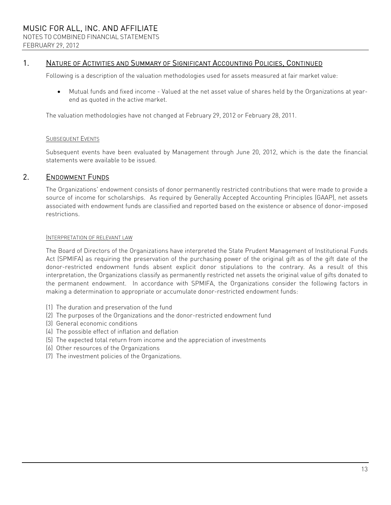### 1. NATURE OF ACTIVITIES AND SUMMARY OF SIGNIFICANT ACCOUNTING POLICIES, CONTINUED

Following is a description of the valuation methodologies used for assets measured at fair market value:

 Mutual funds and fixed income - Valued at the net asset value of shares held by the Organizations at yearend as quoted in the active market.

The valuation methodologies have not changed at February 29, 2012 or February 28, 2011.

#### SUBSEQUENT EVENTS

Subsequent events have been evaluated by Management through June 20, 2012, which is the date the financial statements were available to be issued.

### 2. ENDOWMENT FUNDS

The Organizations' endowment consists of donor permanently restricted contributions that were made to provide a source of income for scholarships. As required by Generally Accepted Accounting Principles (GAAP), net assets associated with endowment funds are classified and reported based on the existence or absence of donor-imposed restrictions.

### INTERPRETATION OF RELEVANT LAW

The Board of Directors of the Organizations have interpreted the State Prudent Management of Institutional Funds Act (SPMIFA) as requiring the preservation of the purchasing power of the original gift as of the gift date of the donor-restricted endowment funds absent explicit donor stipulations to the contrary. As a result of this interpretation, the Organizations classify as permanently restricted net assets the original value of gifts donated to the permanent endowment. In accordance with SPMIFA, the Organizations consider the following factors in making a determination to appropriate or accumulate donor-restricted endowment funds:

- (1) The duration and preservation of the fund
- (2) The purposes of the Organizations and the donor-restricted endowment fund
- (3) General economic conditions
- (4) The possible effect of inflation and deflation
- (5) The expected total return from income and the appreciation of investments
- (6) Other resources of the Organizations
- (7) The investment policies of the Organizations.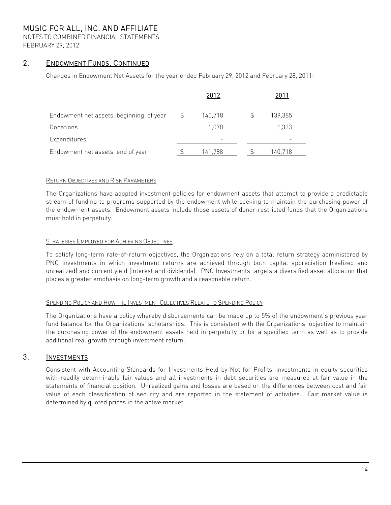NOTES TO COMBINED FINANCIAL STATEMENTS FEBRUARY 29, 2012

### 2. ENDOWMENT FUNDS, CONTINUED

Changes in Endowment Net Assets for the year ended February 29, 2012 and February 28, 2011:

|                                         | 2012          | 2011    |  |
|-----------------------------------------|---------------|---------|--|
| Endowment net assets, beginning of year | \$<br>140,718 | 139,385 |  |
| Donations                               | 1,070         | 1,333   |  |
| Expenditures                            |               |         |  |
| Endowment net assets, end of year       | 141,788       | 140,718 |  |

### RETURN OBJECTIVES AND RISK PARAMETERS

The Organizations have adopted investment policies for endowment assets that attempt to provide a predictable stream of funding to programs supported by the endowment while seeking to maintain the purchasing power of the endowment assets. Endowment assets include those assets of donor-restricted funds that the Organizations must hold in perpetuity.

### **STRATEGIES EMPLOYED FOR ACHIEVING OBJECTIVES**

To satisfy long-term rate-of-return objectives, the Organizations rely on a total return strategy administered by PNC Investments in which investment returns are achieved through both capital appreciation (realized and unrealized) and current yield (interest and dividends). PNC Investments targets a diversified asset allocation that places a greater emphasis on long-term growth and a reasonable return.

### SPENDING POLICY AND HOW THE INVESTMENT OBJECTIVES RELATE TO SPENDING POLICY

The Organizations have a policy whereby disbursements can be made up to 5% of the endowment's previous year fund balance for the Organizations' scholarships. This is consistent with the Organizations' objective to maintain the purchasing power of the endowment assets held in perpetuity or for a specified term as well as to provide additional real growth through investment return.

### 3. INVESTMENTS

Consistent with Accounting Standards for Investments Held by Not-for-Profits, investments in equity securities with readily determinable fair values and all investments in debt securities are measured at fair value in the statements of financial position. Unrealized gains and losses are based on the differences between cost and fair value of each classification of security and are reported in the statement of activities. Fair market value is determined by quoted prices in the active market.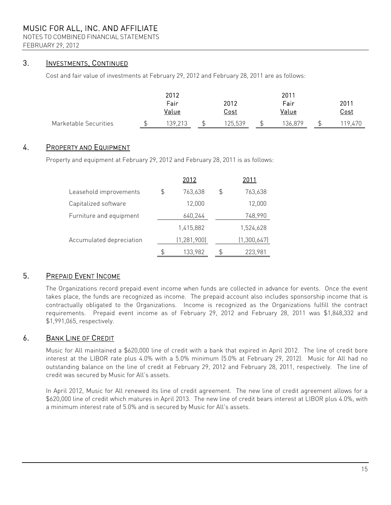NOTES TO COMBINED FINANCIAL STATEMENTS FEBRUARY 29, 2012

### 3. INVESTMENTS, CONTINUED

Cost and fair value of investments at February 29, 2012 and February 28, 2011 are as follows:

|                       | 2012          |                     | 2011          |                     |
|-----------------------|---------------|---------------------|---------------|---------------------|
|                       | Fair<br>Value | 2012<br><u>Cost</u> | Fair<br>Value | 2011<br><u>Cost</u> |
| Marketable Securities | 139,213       | 125,539             | 136,879       | 19.470              |

### 4. PROPERTY AND EQUIPMENT

Property and equipment at February 29, 2012 and February 28, 2011 is as follows:

|                          | 2012          | 2011          |
|--------------------------|---------------|---------------|
| Leasehold improvements   | \$<br>763,638 | \$<br>763,638 |
| Capitalized software     | 12,000        | 12,000        |
| Furniture and equipment  | 640,244       | 748,990       |
|                          | 1,415,882     | 1,524,628     |
| Accumulated depreciation | (1, 281, 900) | (1,300,647)   |
|                          | \$<br>133,982 | 223,981       |

## 5. PREPAID EVENT INCOME

The Organizations record prepaid event income when funds are collected in advance for events. Once the event takes place, the funds are recognized as income. The prepaid account also includes sponsorship income that is contractually obligated to the Organizations. Income is recognized as the Organizations fulfill the contract requirements. Prepaid event income as of February 29, 2012 and February 28, 2011 was \$1,848,332 and \$1,991,065, respectively.

### 6. BANK LINE OF CREDIT

Music for All maintained a \$620,000 line of credit with a bank that expired in April 2012. The line of credit bore interest at the LIBOR rate plus 4.0% with a 5.0% minimum (5.0% at February 29, 2012). Music for All had no outstanding balance on the line of credit at February 29, 2012 and February 28, 2011, respectively. The line of credit was secured by Music for All's assets.

In April 2012, Music for All renewed its line of credit agreement. The new line of credit agreement allows for a \$620,000 line of credit which matures in April 2013. The new line of credit bears interest at LIBOR plus 4.0%, with a minimum interest rate of 5.0% and is secured by Music for All's assets.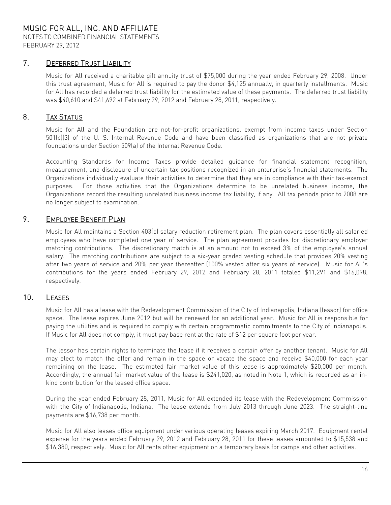## 7. DEFERRED TRUST LIABILITY

Music for All received a charitable gift annuity trust of \$75,000 during the year ended February 29, 2008. Under this trust agreement, Music for All is required to pay the donor \$4,125 annually, in quarterly installments. Music for All has recorded a deferred trust liability for the estimated value of these payments. The deferred trust liability was \$40,610 and \$41,692 at February 29, 2012 and February 28, 2011, respectively.

## 8. TAX STATUS

Music for All and the Foundation are not-for-profit organizations, exempt from income taxes under Section 501(c)(3) of the U. S. Internal Revenue Code and have been classified as organizations that are not private foundations under Section 509(a) of the Internal Revenue Code.

Accounting Standards for Income Taxes provide detailed guidance for financial statement recognition, measurement, and disclosure of uncertain tax positions recognized in an enterprise's financial statements. The Organizations individually evaluate their activities to determine that they are in compliance with their tax-exempt purposes. For those activities that the Organizations determine to be unrelated business income, the Organizations record the resulting unrelated business income tax liability, if any. All tax periods prior to 2008 are no longer subject to examination.

### 9. EMPLOYEE BENEFIT PLAN

Music for All maintains a Section 403(b) salary reduction retirement plan. The plan covers essentially all salaried employees who have completed one year of service. The plan agreement provides for discretionary employer matching contributions. The discretionary match is at an amount not to exceed 3% of the employee's annual salary. The matching contributions are subject to a six-year graded vesting schedule that provides 20% vesting after two years of service and 20% per year thereafter (100% vested after six years of service). Music for All's contributions for the years ended February 29, 2012 and February 28, 2011 totaled \$11,291 and \$16,098, respectively.

## 10. LEASES

Music for All has a lease with the Redevelopment Commission of the City of Indianapolis, Indiana (lessor) for office space. The lease expires June 2012 but will be renewed for an additional year. Music for All is responsible for paying the utilities and is required to comply with certain programmatic commitments to the City of Indianapolis. If Music for All does not comply, it must pay base rent at the rate of \$12 per square foot per year.

The lessor has certain rights to terminate the lease if it receives a certain offer by another tenant. Music for All may elect to match the offer and remain in the space or vacate the space and receive \$40,000 for each year remaining on the lease. The estimated fair market value of this lease is approximately \$20,000 per month. Accordingly, the annual fair market value of the lease is \$241,020, as noted in Note 1, which is recorded as an inkind contribution for the leased office space.

During the year ended February 28, 2011, Music for All extended its lease with the Redevelopment Commission with the City of Indianapolis, Indiana. The lease extends from July 2013 through June 2023. The straight-line payments are \$16,738 per month.

Music for All also leases office equipment under various operating leases expiring March 2017. Equipment rental expense for the years ended February 29, 2012 and February 28, 2011 for these leases amounted to \$15,538 and \$16,380, respectively. Music for All rents other equipment on a temporary basis for camps and other activities.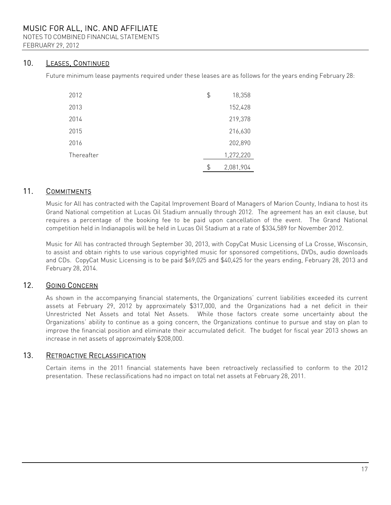NOTES TO COMBINED FINANCIAL STATEMENTS FEBRUARY 29, 2012

### 10. LEASES, CONTINUED

Future minimum lease payments required under these leases are as follows for the years ending February 28:

| 2012       | \$<br>18,358    |
|------------|-----------------|
| 2013       | 152,428         |
| 2014       | 219,378         |
| 2015       | 216,630         |
| 2016       | 202,890         |
| Thereafter | 1,272,220       |
|            | \$<br>2,081,904 |

### 11. COMMITMENTS

Music for All has contracted with the Capital Improvement Board of Managers of Marion County, Indiana to host its Grand National competition at Lucas Oil Stadium annually through 2012. The agreement has an exit clause, but requires a percentage of the booking fee to be paid upon cancellation of the event. The Grand National competition held in Indianapolis will be held in Lucas Oil Stadium at a rate of \$334,589 for November 2012.

Music for All has contracted through September 30, 2013, with CopyCat Music Licensing of La Crosse, Wisconsin, to assist and obtain rights to use various copyrighted music for sponsored competitions, DVDs, audio downloads and CDs. CopyCat Music Licensing is to be paid \$69,025 and \$40,425 for the years ending, February 28, 2013 and February 28, 2014.

### 12. GOING CONCERN

As shown in the accompanying financial statements, the Organizations' current liabilities exceeded its current assets at February 29, 2012 by approximately \$317,000, and the Organizations had a net deficit in their Unrestricted Net Assets and total Net Assets. While those factors create some uncertainty about the Organizations' ability to continue as a going concern, the Organizations continue to pursue and stay on plan to improve the financial position and eliminate their accumulated deficit. The budget for fiscal year 2013 shows an increase in net assets of approximately \$208,000.

### 13. RETROACTIVE RECLASSIFICATION

Certain items in the 2011 financial statements have been retroactively reclassified to conform to the 2012 presentation. These reclassifications had no impact on total net assets at February 28, 2011.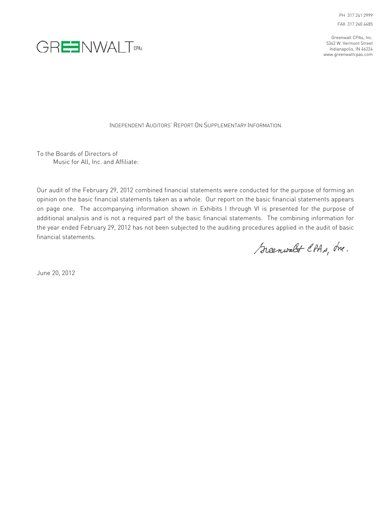PH 317 241 2999 FAX 317 240 4485

Greenwalt CPAs, Inc. 5342 W. Vermont Street Indianapolis, IN 46224 www.greenwaltcpas.com



INDEPENDENT AUDITORS' REPORT ON SUPPLEMENTARY INFORMATION

To the Boards of Directors of Music for All, Inc. and Affiliate:

Our audit of the February 29, 2012 combined financial statements were conducted for the purpose of forming an opinion on the basic financial statements taken as a whole. Our report on the basic financial statements appears on page one. The accompanying information shown in Exhibits I through VI is presented for the purpose of additional analysis and is not a required part of the basic financial statements. The combining information for the year ended February 29, 2012 has not been subjected to the auditing procedures applied in the audit of basic financial statements.

Greenwalt CPAs, Inc.

June 20, 2012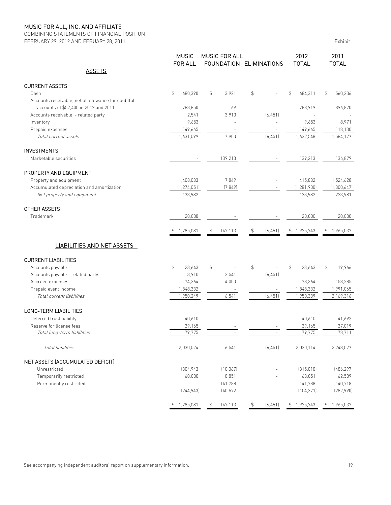COMBINING STATEMENTS OF FINANCIAL POSITION FEBRUARY 29, 2012 AND FEBUARY 28, 2011 Exhibit I

|                                                    | <b>MUSIC</b><br>FOR ALL   | <b>MUSIC FOR ALL</b><br>FOUNDATION ELIMINATIONS |                | 2012<br><b>TOTAL</b> | 2011<br><b>TOTAL</b>     |
|----------------------------------------------------|---------------------------|-------------------------------------------------|----------------|----------------------|--------------------------|
| <b>ASSETS</b>                                      |                           |                                                 |                |                      |                          |
| <b>CURRENT ASSETS</b>                              |                           |                                                 |                |                      |                          |
| Cash                                               | \$<br>680,390             | \$<br>3,921                                     | \$             | \$<br>684,311        | \$<br>560,206            |
| Accounts receivable, net of allowance for doubtful |                           |                                                 |                |                      |                          |
| accounts of \$52,400 in 2012 and 2011              | 788,850                   | 69                                              |                | 788,919              | 896,870                  |
| Accounts receivable - related party                | 2,541                     | 3,910                                           | (6, 451)       |                      |                          |
| Inventory                                          | 9,653                     |                                                 |                | 9.653                | 8,971                    |
| Prepaid expenses                                   | 149,665                   | $\overline{\phantom{a}}$                        |                | 149,665              | 118,130                  |
| Total current assets                               | 1,631,099                 | 7,900                                           | (6, 451)       | 1,632,548            | 1,584,177                |
| <b>INVESTMENTS</b>                                 |                           |                                                 |                |                      |                          |
| Marketable securities                              |                           | 139,213                                         |                | 139,213              | 136,879                  |
| PROPERTY AND EQUIPMENT                             |                           |                                                 |                |                      |                          |
| Property and equipment                             | 1,408,033                 | 7,849                                           |                | 1.415.882            | 1,524,628                |
| Accumulated depreciation and amortization          | (1, 274, 051)             | (7, 849)                                        |                | (1, 281, 900)        | (1,300,647)              |
| Net property and equipment                         | 133,982                   | $\sim$                                          |                | 133,982              | 223,981                  |
| OTHER ASSETS                                       |                           |                                                 |                |                      |                          |
| Trademark                                          | 20,000                    |                                                 |                | 20,000               | 20,000                   |
|                                                    | 1,785,081<br>$\downarrow$ | \$<br>147,113                                   | \$<br>(6, 451) | 1,925,743<br>\$      | \$1,965,037              |
| <b>LIABILITIES AND NET ASSETS</b>                  |                           |                                                 |                |                      |                          |
| <b>CURRENT LIABILITIES</b>                         |                           |                                                 |                |                      |                          |
| Accounts payable                                   | \$<br>23,643              | \$                                              | \$             | \$<br>23,643         | $\mathfrak{S}$<br>19,966 |
| Accounts payable - related party                   | 3,910                     | 2,541                                           | (6, 451)       |                      |                          |
| Accrued expenses                                   | 74,364                    | 4,000                                           |                | 78,364               | 158,285                  |
| Prepaid event income                               | 1,848,332                 |                                                 |                | 1,848,332            | 1,991,065                |
| Total current liabilities                          | 1,950,249                 | 6,541                                           | (6, 451)       | 1,950,339            | 2,169,316                |
| LONG-TERM LIABILITIES                              |                           |                                                 |                |                      |                          |
| Deferred trust liability                           | 40,610                    |                                                 |                | 40,610               | 41,692                   |
| Reserve for license fees                           | 39,165                    |                                                 |                | 39,165               | 37,019                   |
| Total long-term liabilities                        | 79.775                    |                                                 |                | 79,775               | 78,711                   |
| Total liabilities                                  | 2,030,024                 | 6,541                                           | (6, 451)       | 2,030,114            | 2,248,027                |
| NET ASSETS (ACCUMULATED DEFICIT)                   |                           |                                                 |                |                      |                          |
| Unrestricted                                       | (304, 943)                | (10, 067)                                       |                | (315,010)            | (486, 297)               |
| Temporarily restricted                             | 60,000                    | 8,851                                           |                | 68,851               | 62,589                   |
| Permanently restricted                             | $\overline{\phantom{a}}$  | 141,788                                         |                | 141,788              | 140,718                  |
|                                                    | [244, 943]                | 140,572                                         | $\sim$         | (104, 371)           | (282,990)                |
|                                                    | \$1,785,081               | \$<br>147,113                                   | \$<br>(6, 451) | \$1,925,743          | \$1,965,037              |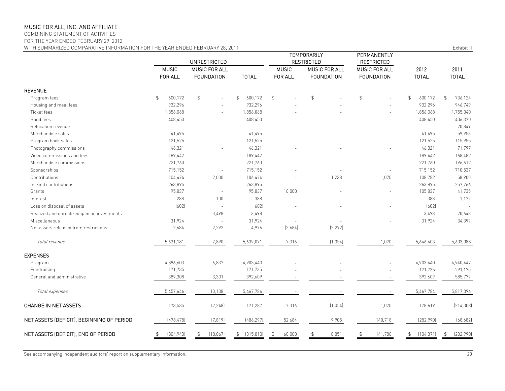COMBINING STATEMENT OF ACTIVITIES

FOR THE YEAR ENDED FEBRUARY 29, 2012

WITH SUMMARIZED COMPARATIVE INFORMATION FOR THE YEAR ENDED FEBRUARY 28, 2011 **EXHIBIT II** COMPARATIVE INFORMATION FOR THE YEAR ENDED FEBRUARY 28, 2011

|                                             | <b>UNRESTRICTED</b> |                   |                           |                | TEMPORARILY<br><b>RESTRICTED</b> | PERMANENTLY<br><b>RESTRICTED</b> |               |                           |
|---------------------------------------------|---------------------|-------------------|---------------------------|----------------|----------------------------------|----------------------------------|---------------|---------------------------|
|                                             | <b>MUSIC</b>        | MUSIC FOR ALL     |                           | <b>MUSIC</b>   | MUSIC FOR ALL                    | MUSIC FOR ALL                    | 2012          | 2011                      |
|                                             | FOR ALL             | <b>FOUNDATION</b> | <b>TOTAL</b>              | FOR ALL        | <b>FOUNDATION</b>                | <b>FOUNDATION</b>                | <b>TOTAL</b>  | <b>TOTAL</b>              |
| <b>REVENUE</b>                              |                     |                   |                           |                |                                  |                                  |               |                           |
| Program fees                                | \$<br>600,172       | $\mathfrak{L}$    | $\mathfrak{S}$<br>600,172 | $\mathfrak{S}$ | $\mathfrak{S}$                   | $\mathfrak{S}$                   | \$<br>600,172 | $\mathfrak{L}$<br>736,124 |
| Housing and meal fees                       | 932,296             |                   | 932,296                   |                |                                  |                                  | 932,296       | 946,749                   |
| Ticket fees                                 | 1,856,068           |                   | 1,856,068                 |                |                                  |                                  | 1,856,068     | 1,755,040                 |
| Band fees                                   | 408,450             |                   | 408,450                   |                |                                  |                                  | 408,450       | 406,370                   |
| Relocation revenue                          |                     |                   |                           |                |                                  |                                  | $\bar{z}$     | 20,849                    |
| Merchandise sales                           | 41,495              |                   | 41,495                    |                |                                  |                                  | 41,495        | 59,953                    |
| Program book sales                          | 121,525             |                   | 121,525                   |                |                                  |                                  | 121,525       | 115,955                   |
| Photography commissions                     | 46,321              |                   | 46,321                    |                |                                  |                                  | 46,321        | 71,797                    |
| Video commissions and fees                  | 189,442             |                   | 189,442                   |                |                                  |                                  | 189,442       | 168,482                   |
| Merchandise commissions                     | 221,760             |                   | 221,760                   |                |                                  |                                  | 221,760       | 196,612                   |
| Sponsorships                                | 715,152             |                   | 715,152                   |                |                                  |                                  | 715,152       | 710,537                   |
| Contributions                               | 104,474             | 2,000             | 106,474                   |                | 1,238                            | 1,070                            | 108,782       | 58,900                    |
| In-kind contributions                       | 263,895             | $\sim$            | 263,895                   |                |                                  |                                  | 263,895       | 257,766                   |
| Grants                                      | 95,837              | $\sim$            | 95,837                    | 10,000         |                                  |                                  | 105,837       | 41,735                    |
| Interest                                    | 288                 | 100               | 388                       |                |                                  |                                  | 388           | 1,172                     |
| Loss on disposal of assets                  | (602)               | $\sim$            | (602)                     |                |                                  |                                  | (602)         |                           |
| Realized and unrealized gain on investments | $\bar{a}$           | 3,498             | 3,498                     |                |                                  |                                  | 3,498         | 20,648                    |
| Miscellaneous                               | 31,924              |                   | 31,924                    |                |                                  |                                  | 31,924        | 34,399                    |
| Net assets released from restrictions       | 2,684               | 2,292             | 4,976                     | [2,684]        | (2, 292)                         |                                  |               |                           |
| Total revenue                               | 5,631,181           | 7,890             | 5,639,071                 | 7,316          | (1,054)                          | 1,070                            | 5,646,403     | 5,603,088                 |
| <b>EXPENSES</b>                             |                     |                   |                           |                |                                  |                                  |               |                           |
| Program                                     | 4,896,603           | 6,837             | 4,903,440                 |                |                                  |                                  | 4,903,440     | 4,940,447                 |
| Fundraising                                 | 171,735             |                   | 171,735                   |                |                                  |                                  | 171,735       | 291,170                   |
| General and administrative                  | 389,308             | 3,301             | 392,609                   |                |                                  |                                  | 392,609       | 585,779                   |
| Total expenses                              | 5,457,646           | 10,138            | 5,467,784                 |                |                                  |                                  | 5,467,784     | 5,817,396                 |
| <b>CHANGE IN NET ASSETS</b>                 | 173,535             | (2, 248)          | 171,287                   | 7,316          | (1,054)                          | 1,070                            | 178,619       | (214, 308)                |
| NET ASSETS (DEFICIT), BEGINNING OF PERIOD   | (478, 478)          | (7, 819)          | (486, 297)                | 52,684         | 9,905                            | 140,718                          | (282,990)     | (68, 682)                 |
| NET ASSETS (DEFICIT), END OF PERIOD         | (304, 943)          | (10,067)          | (315,010)<br>\$           | 60,000<br>\$   | 8,851                            | 141,788                          | (104, 371)    | (282,990)<br>\$           |
|                                             |                     |                   |                           |                |                                  |                                  |               |                           |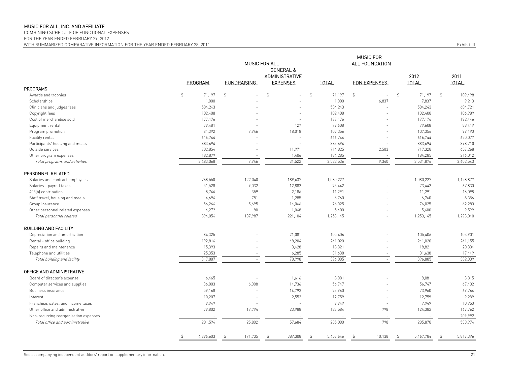COMBINING SCHEDULE OF FUNCTIONAL EXPENSES

FOR THE YEAR ENDED FEBRUARY 29, 2012

MUSIC FOR ALL FOUNDATION GENERAL &ADMINISTRATIVE 2012 2011PROGRAM FUNDRAISING EXPENSES TOTAL FDN EXPENSES TOTAL TOTAL PROGRAMSAwards and trophies \$ 71,197 \$ \$ 71,197 \$ 71,197 \$ 109,498 Scholarships - 1,000 - 1,000 6,837 7,837 9,213 Clinicians and judges fees 584,243 584,243 584,243 584,243 Copyright fees 102,408 102,408 102,408 106,989 Cost of merchandise sold 177,176 177,176 177,176 177,176 Equipment rental 79,481 79,608 88,419 Program promotion 81,392 7,946 18,018 107,356 107,356 99,190 Facility rental - 616,744 - 616,744 - 616,744 620,077 - 616,744 620,077 - 616,744 620,077 - 616,744 620,077 Participants' housing and meals 698,710 and meals 883,694 883,694 883,694 883,694 883,694 883,694 898,710 Outside services - 702,854 11,971 714,825 2,503 717,328 657,268 Other program expenses 1,406 1,406 1,4025 184,285 184,285 Total programs and activities **7,946** 3,483,068 3,522,536 3,522,536 3,522,536 3,531,876 3,602,543 PERSONNEL RELATED Salaries and contract employees **71,08,877** 1,080,227 1,080,227 1,080,227 1,080,227 1,080,227 1,128,877 1,128,877 Salaries - payroll taxes 51,528 12,882 73,442 67,830 403(b) contribution 8,746 359 2,186 11,291 16,098 Staff travel, housing and meals **1,694** 1,694 781 1,285 6,760 6,760 6,760 6,760 6,760 6,760 8,356 Group insurance 56,264 5,695 76,025 62,280 Other personnel related expenses and the content of the content of the content of the content of the content of the content of the content of the content of the content of the content of the content of the content of the c Total personnel related 137,987 894,054 221,104 1,253,145 - 1,253,145 1,293,040 BUILDING AND FACILITYDepreciation and amortization 84,325 - 21,081 105,406 - 105,406 103,901 Rental - office building 192,816 48,204 241,155 Repairs and maintenance 15,393 3,428 18,821 20,334 Telephone and utilities - 25,353 - 25,353 - 25,353 - 25,353 - 31,638 - 31,638 - 31,638 - 31,638 - 31,638 17,449 Total building and facility - 317,887 78,998 396,885 - 396,885 382,839 OFFICE AND ADMINISTRATIVEBoard of director's expense 6,465 1,616 8,081 8,081 8,081 3,815 Computer services and supplies and supplies and supplies and supplies 36,003 56,003 6,003 6,008 56,747 56,747 56,747 56,747 56,747 56,747 56,7402 Business insurance 59.168 59,168 14,792 73,960 - 73,960 69,764 Interest - 10,207 2,552 12,759 - 12,759 9,289 Franchise, sales, and income taxes and income taxes and the same taxes of the series of the series of the series of the series of the series of the series of the series of the series of the series of the series of the seri Other office and administrative 23,780 123,584 123,584 124,382 19,794 167,762 Non-recurring reorganization expenses and the set of the set of the set of the set of the set of the set of the set of the set of the set of the set of the set of the set of the set of the set of the set of the set of the Total office and administrative 285,878 201,594 201,594 25,802 201,594 285,080 285,080 285,878 285,878 538,974 \$ 171,735 4,896,603 \$ 389,308 \$ 5,457,646 \$ 10,138 \$ 5,467,784 \$ 5,817,396 \$ MUSIC FOR ALL

WITH SUMMARIZED COMPARATIVE INFORMATION FOR THE YEAR ENDED FEBRUARY 28, 2011 **Exhibit III** Exhibit III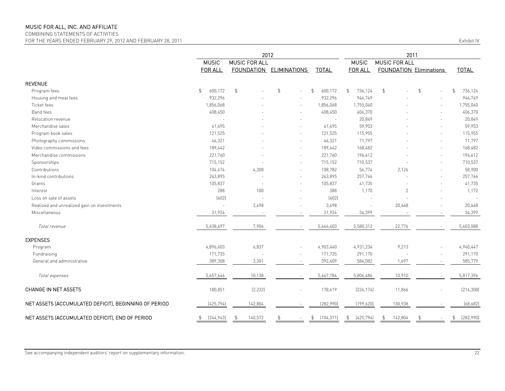COMBINING STATEMENTS OF ACTIVITIES

FOR THE YEARS ENDED FEBRUARY 29, 2012 AND FEBRUARY 28, 2011

| Fxhibit IV |  |  |
|------------|--|--|
|            |  |  |

|                                                       | 2012                      |                          |                         |                              | 2011             |                      |                                |                           |
|-------------------------------------------------------|---------------------------|--------------------------|-------------------------|------------------------------|------------------|----------------------|--------------------------------|---------------------------|
|                                                       | <b>MUSIC</b>              | <b>MUSIC FOR ALL</b>     |                         |                              | <b>MUSIC</b>     | <b>MUSIC FOR ALL</b> |                                |                           |
|                                                       | <b>FOR ALL</b>            |                          | FOUNDATION ELIMINATIONS | <b>TOTAL</b>                 | FOR ALL          |                      | <b>FOUNDATION Eliminations</b> | <b>TOTAL</b>              |
| <b>REVENUE</b>                                        |                           |                          |                         |                              |                  |                      |                                |                           |
| Program fees                                          | 600,172<br>$\mathfrak{P}$ | $\mathfrak{L}$           | $\frac{4}{3}$           | \$<br>600,172                | \$<br>736,124    | \$                   | \$                             | $\mathfrak{L}$<br>736,124 |
| Housing and meal fees                                 | 932,296                   |                          |                         | 932,296                      | 946,749          |                      |                                | 946,749                   |
| Ticket fees                                           | 1,856,068                 |                          | ÷                       | 1,856,068                    | 1,755,040        |                      |                                | 1,755,040                 |
| Band fees                                             | 408,450                   |                          |                         | 408,450                      | 406,370          |                      |                                | 406,370                   |
| Relocation revenue                                    |                           |                          |                         |                              | 20,849           |                      |                                | 20,849                    |
| Merchandise sales                                     | 41,495                    |                          |                         | 41,495                       | 59,953           |                      |                                | 59,953                    |
| Program book sales                                    | 121,525                   |                          |                         | 121,525                      | 115,955          |                      |                                | 115,955                   |
| Photography commissions                               | 46,321                    |                          |                         | 46,321                       | 71,797           |                      |                                | 71,797                    |
| Video commissions and fees                            | 189,442                   |                          |                         | 189,442                      | 168,482          |                      |                                | 168,482                   |
| Merchandise commissions                               | 221,760                   |                          |                         | 221,760                      | 196,612          |                      |                                | 196,612                   |
| Sponsorships                                          | 715,152                   |                          | ÷                       | 715,152                      | 710,537          |                      |                                | 710,537                   |
| Contributions                                         | 104,474                   | 4,308                    |                         | 108,782                      | 56,774           | 2,126                |                                | 58,900                    |
| In-kind contributions                                 | 263,895                   |                          |                         | 263,895                      | 257,766          |                      |                                | 257,766                   |
| Grants                                                | 105,837                   | $\sim$                   | $\sim$                  | 105,837                      | 41,735           |                      |                                | 41,735                    |
| Interest                                              | 288                       | 100                      | $\sim$                  | 388                          | 1,170            | $\overline{2}$       |                                | 1,172                     |
| Loss on sale of assets                                | (602)                     | $\overline{\phantom{a}}$ |                         | (602)                        |                  |                      |                                |                           |
| Realized and unrealized gain on investments           |                           | 3,498                    |                         | 3,498                        |                  | 20,648               |                                | 20,648                    |
| Miscellaneous                                         | 31,924                    |                          |                         | 31,924                       | 34,399           |                      |                                | 34,399                    |
| Total revenue                                         | 5,638,497                 | 7,906                    |                         | 5,646,403                    | 5,580,312        | 22,776               |                                | 5,603,088                 |
| <b>EXPENSES</b>                                       |                           |                          |                         |                              |                  |                      |                                |                           |
| Program                                               | 4,896,603                 | 6,837                    |                         | 4,903,440                    | 4,931,234        | 9,213                |                                | 4,940,447                 |
| Fundraising                                           | 171,735                   |                          |                         | 171,735                      | 291,170          |                      |                                | 291,170                   |
| General and administrative                            | 389,308                   | 3,301                    |                         | 392,609                      | 584,082          | 1,697                |                                | 585,779                   |
| Total expenses                                        | 5,457,646                 | 10,138                   |                         | 5,467,784                    | 5,806,486        | 10,910               |                                | 5,817,396                 |
| CHANGE IN NET ASSETS                                  | 180,851                   | [2, 232]                 |                         | 178,619                      | [226, 174]       | 11,866               |                                | (214, 308)                |
| NET ASSETS (ACCUMULATED DEFICIT), BEGINNING OF PERIOD | (425, 794)                | 142,804                  |                         | (282,990)                    | (199, 620)       | 130,938              |                                | (68, 682)                 |
| NET ASSETS (ACCUMULATED DEFICIT), END OF PERIOD       | [244, 943]<br>\$          | 140,572                  | $\mathfrak{L}$          | $\mathfrak{P}$<br>(104, 371) | (425, 794)<br>\$ | 142,804<br>\$        | \$                             | (282,990)<br>\$           |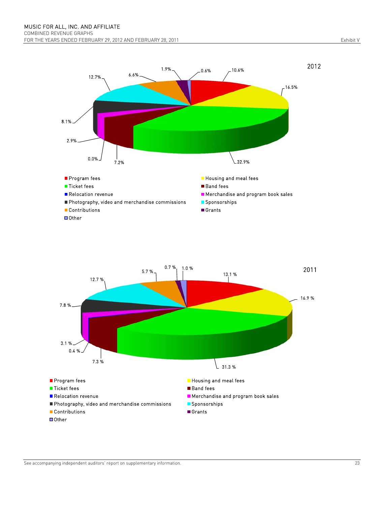